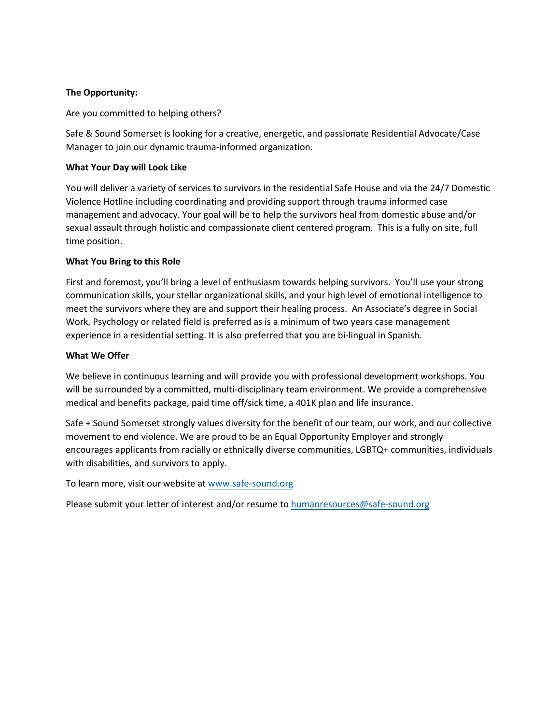### **The Opportunity:**

Are you committed to helping others?

Safe & Sound Somerset is looking for a creative, energetic, and passionate Residential Advocate/Case Manager to join our dynamic trauma-informed organization.

### **What Your Day will Look Like**

You will deliver a variety of services to survivors in the residential Safe House and via the 24/7 Domestic Violence Hotline including coordinating and providing support through trauma informed case management and advocacy. Your goal will be to help the survivors heal from domestic abuse and/or sexual assault through holistic and compassionate client centered program. This is a fully on site, full time position.

### **What You Bring to this Role**

First and foremost, you'll bring a level of enthusiasm towards helping survivors. You'll use your strong communication skills, your stellar organizational skills, and your high level of emotional intelligence to meet the survivors where they are and support their healing process. An Associate's degree in Social Work, Psychology or related field is preferred as is a minimum of two years case management experience in a residential setting. It is also preferred that you are bi-lingual in Spanish.

### **What We Offer**

We believe in continuous learning and will provide you with professional development workshops. You will be surrounded by a committed, multi-disciplinary team environment. We provide a comprehensive medical and benefits package, paid time off/sick time, a 401K plan and life insurance.

Safe + Sound Somerset strongly values diversity for the benefit of our team, our work, and our collective movement to end violence. We are proud to be an Equal Opportunity Employer and strongly encourages applicants from racially or ethnically diverse communities, LGBTQ+ communities, individuals with disabilities, and survivors to apply.

To learn more, visit our website at www.safe-sound.org

Please submit your letter of inter[est and/or resume to](http://www.safe-sound.org/) humanresources@safe-sound.org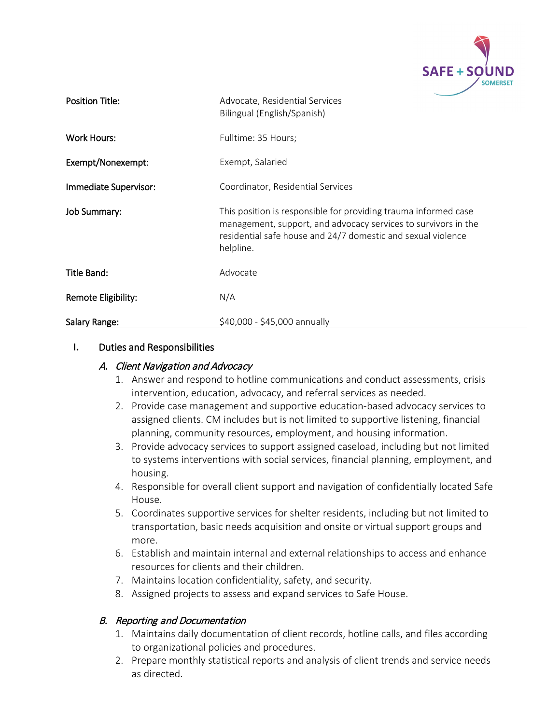

| <b>Position Title:</b> | Advocate, Residential Services<br>Bilingual (English/Spanish)                                                                                                                                                  |
|------------------------|----------------------------------------------------------------------------------------------------------------------------------------------------------------------------------------------------------------|
| <b>Work Hours:</b>     | Fulltime: 35 Hours;                                                                                                                                                                                            |
| Exempt/Nonexempt:      | Exempt, Salaried                                                                                                                                                                                               |
| Immediate Supervisor:  | Coordinator, Residential Services                                                                                                                                                                              |
| Job Summary:           | This position is responsible for providing trauma informed case<br>management, support, and advocacy services to survivors in the<br>residential safe house and 24/7 domestic and sexual violence<br>helpline. |
| Title Band:            | Advocate                                                                                                                                                                                                       |
| Remote Eligibility:    | N/A                                                                                                                                                                                                            |
| Salary Range:          | \$40,000 - \$45,000 annually                                                                                                                                                                                   |

### **I.** Duties and Responsibilities

## A. Client Navigation and Advocacy

- 1. Answer and respond to hotline communications and conduct assessments, crisis intervention, education, advocacy, and referral services as needed.
- 2. Provide case management and supportive education-based advocacy services to assigned clients. CM includes but is not limited to supportive listening, financial planning, community resources, employment, and housing information.
- 3. Provide advocacy services to support assigned caseload, including but not limited to systems interventions with social services, financial planning, employment, and housing.
- 4. Responsible for overall client support and navigation of confidentially located Safe House.
- 5. Coordinates supportive services for shelter residents, including but not limited to transportation, basic needs acquisition and onsite or virtual support groups and more.
- 6. Establish and maintain internal and external relationships to access and enhance resources for clients and their children.
- 7. Maintains location confidentiality, safety, and security.
- 8. Assigned projects to assess and expand services to Safe House.

### B. Reporting and Documentation

- 1. Maintains daily documentation of client records, hotline calls, and files according to organizational policies and procedures.
- 2. Prepare monthly statistical reports and analysis of client trends and service needs as directed.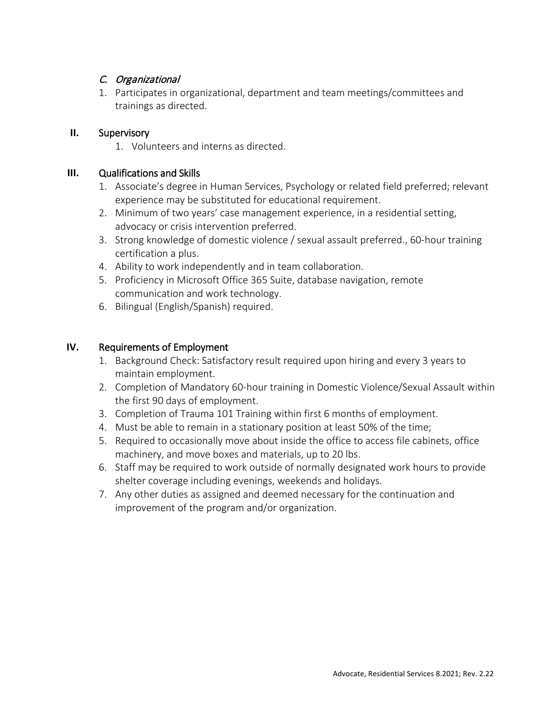## C. Organizational

1. Participates in organizational, department and team meetings/committees and trainings as directed.

## **II.** Supervisory

1. Volunteers and interns as directed.

# **III.** Qualifications and Skills

- 1. Associate's degree in Human Services, Psychology or related field preferred; relevant experience may be substituted for educational requirement.
- 2. Minimum of two years' case management experience, in a residential setting, advocacy or crisis intervention preferred.
- 3. Strong knowledge of domestic violence / sexual assault preferred., 60-hour training certification a plus.
- 4. Ability to work independently and in team collaboration.
- 5. Proficiency in Microsoft Office 365 Suite, database navigation, remote communication and work technology.
- 6. Bilingual (English/Spanish) required.

# **IV.** Requirements of Employment

- 1. Background Check: Satisfactory result required upon hiring and every 3 years to maintain employment.
- 2. Completion of Mandatory 60-hour training in Domestic Violence/Sexual Assault within the first 90 days of employment.
- 3. Completion of Trauma 101 Training within first 6 months of employment.
- 4. Must be able to remain in a stationary position at least 50% of the time;
- 5. Required to occasionally move about inside the office to access file cabinets, office machinery, and move boxes and materials, up to 20 lbs.
- 6. Staff may be required to work outside of normally designated work hours to provide shelter coverage including evenings, weekends and holidays.
- 7. Any other duties as assigned and deemed necessary for the continuation and improvement of the program and/or organization.